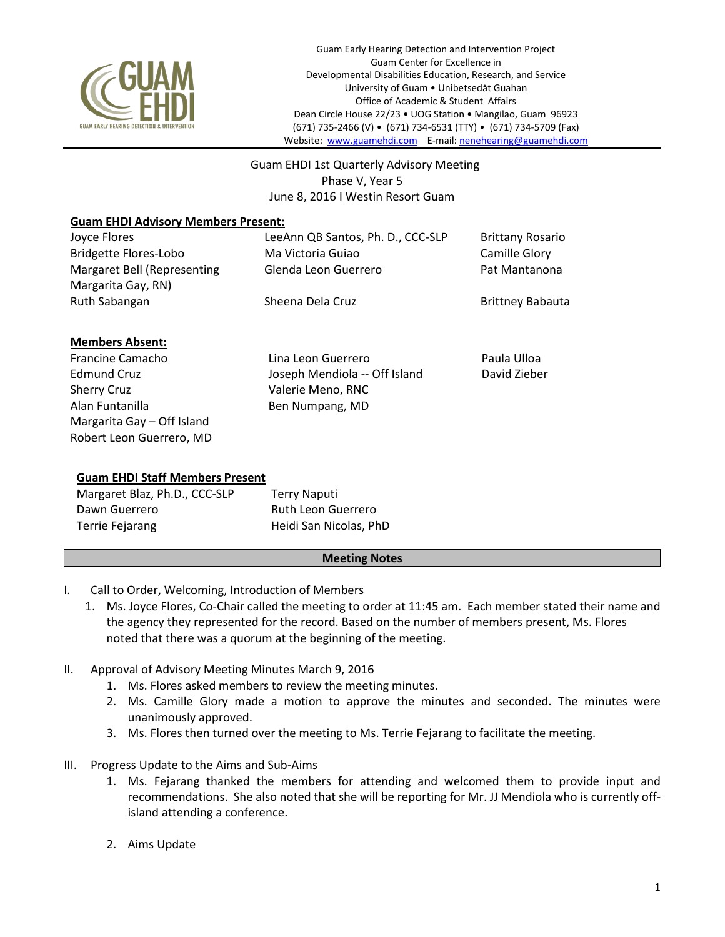

 Guam EHDI 1st Quarterly Advisory Meeting Phase V, Year 5 June 8, 2016 I Westin Resort Guam

## **Guam EHDI Advisory Members Present:**

| Joyce Flores                 | LeeAnn QB Santos, Ph. D., CCC-SLP | <b>Brittany Rosario</b> |
|------------------------------|-----------------------------------|-------------------------|
| <b>Bridgette Flores-Lobo</b> | Ma Victoria Guiao                 | Camille Glory           |
| Margaret Bell (Representing  | Glenda Leon Guerrero              | Pat Mantanona           |
| Margarita Gay, RN)           |                                   |                         |
| Ruth Sabangan                | Sheena Dela Cruz                  | <b>Brittney Babauta</b> |
| <b>Members Absent:</b>       |                                   |                         |
| Francine Camacho             | Lina Leon Guerrero                | Paula Ulloa             |
| <b>Edmund Cruz</b>           | Joseph Mendiola -- Off Island     | David Zieber            |
| <b>Sherry Cruz</b>           | Valerie Meno, RNC                 |                         |
| Alan Funtanilla              | Ben Numpang, MD                   |                         |

## **Guam EHDI Staff Members Present**

Margarita Gay – Off Island Robert Leon Guerrero, MD

| Margaret Blaz, Ph.D., CCC-SLP | Terry Naputi           |
|-------------------------------|------------------------|
| Dawn Guerrero                 | Ruth Leon Guerrero     |
| Terrie Fejarang               | Heidi San Nicolas, PhD |

## **Meeting Notes**

- I. Call to Order, Welcoming, Introduction of Members
	- 1. Ms. Joyce Flores, Co-Chair called the meeting to order at 11:45 am. Each member stated their name and the agency they represented for the record. Based on the number of members present, Ms. Flores noted that there was a quorum at the beginning of the meeting.
- II. Approval of Advisory Meeting Minutes March 9, 2016
	- 1. Ms. Flores asked members to review the meeting minutes.
	- 2. Ms. Camille Glory made a motion to approve the minutes and seconded. The minutes were unanimously approved.
	- 3. Ms. Flores then turned over the meeting to Ms. Terrie Fejarang to facilitate the meeting.
- III. Progress Update to the Aims and Sub-Aims
	- 1. Ms. Fejarang thanked the members for attending and welcomed them to provide input and recommendations. She also noted that she will be reporting for Mr. JJ Mendiola who is currently offisland attending a conference.
	- 2. Aims Update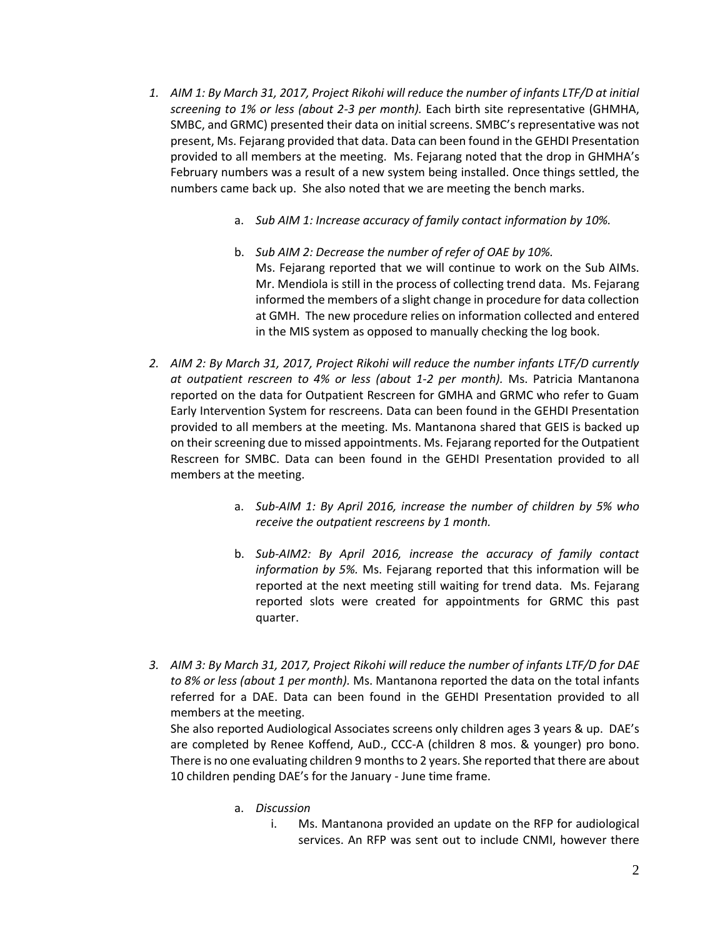- *1. AIM 1: By March 31, 2017, Project Rikohi will reduce the number of infants LTF/D at initial screening to 1% or less (about 2-3 per month).* Each birth site representative (GHMHA, SMBC, and GRMC) presented their data on initial screens. SMBC's representative was not present, Ms. Fejarang provided that data. Data can been found in the GEHDI Presentation provided to all members at the meeting. Ms. Fejarang noted that the drop in GHMHA's February numbers was a result of a new system being installed. Once things settled, the numbers came back up. She also noted that we are meeting the bench marks.
	- a. *Sub AIM 1: Increase accuracy of family contact information by 10%.*
	- b. *Sub AIM 2: Decrease the number of refer of OAE by 10%.*  Ms. Fejarang reported that we will continue to work on the Sub AIMs. Mr. Mendiola is still in the process of collecting trend data. Ms. Fejarang informed the members of a slight change in procedure for data collection at GMH. The new procedure relies on information collected and entered in the MIS system as opposed to manually checking the log book.
- *2. AIM 2: By March 31, 2017, Project Rikohi will reduce the number infants LTF/D currently at outpatient rescreen to 4% or less (about 1-2 per month).* Ms. Patricia Mantanona reported on the data for Outpatient Rescreen for GMHA and GRMC who refer to Guam Early Intervention System for rescreens. Data can been found in the GEHDI Presentation provided to all members at the meeting. Ms. Mantanona shared that GEIS is backed up on their screening due to missed appointments. Ms. Fejarang reported for the Outpatient Rescreen for SMBC. Data can been found in the GEHDI Presentation provided to all members at the meeting.
	- a. *Sub-AIM 1: By April 2016, increase the number of children by 5% who receive the outpatient rescreens by 1 month.*
	- b. *Sub-AIM2: By April 2016, increase the accuracy of family contact information by 5%.* Ms. Fejarang reported that this information will be reported at the next meeting still waiting for trend data. Ms. Fejarang reported slots were created for appointments for GRMC this past quarter.
- *3. AIM 3: By March 31, 2017, Project Rikohi will reduce the number of infants LTF/D for DAE to 8% or less (about 1 per month).* Ms. Mantanona reported the data on the total infants referred for a DAE. Data can been found in the GEHDI Presentation provided to all members at the meeting.

She also reported Audiological Associates screens only children ages 3 years & up. DAE's are completed by Renee Koffend, AuD., CCC-A (children 8 mos. & younger) pro bono. There is no one evaluating children 9 months to 2 years. She reported that there are about 10 children pending DAE's for the January - June time frame.

- a. *Discussion* 
	- i. Ms. Mantanona provided an update on the RFP for audiological services. An RFP was sent out to include CNMI, however there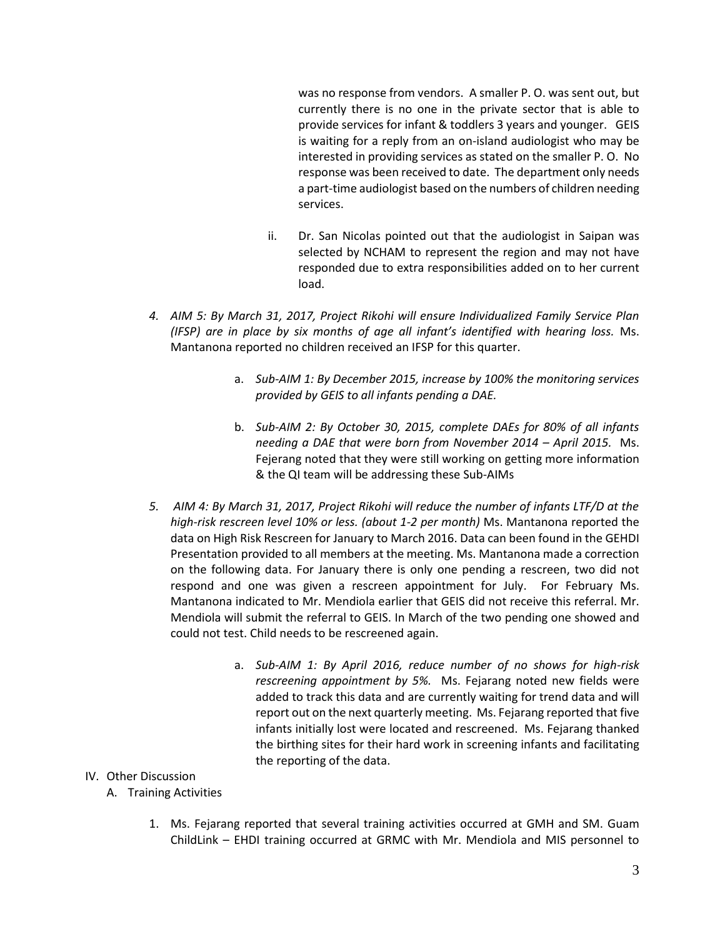was no response from vendors. A smaller P. O. was sent out, but currently there is no one in the private sector that is able to provide services for infant & toddlers 3 years and younger. GEIS is waiting for a reply from an on-island audiologist who may be interested in providing services as stated on the smaller P. O. No response was been received to date. The department only needs a part-time audiologist based on the numbers of children needing services.

- ii. Dr. San Nicolas pointed out that the audiologist in Saipan was selected by NCHAM to represent the region and may not have responded due to extra responsibilities added on to her current load.
- *4. AIM 5: By March 31, 2017, Project Rikohi will ensure Individualized Family Service Plan (IFSP) are in place by six months of age all infant's identified with hearing loss.* Ms. Mantanona reported no children received an IFSP for this quarter.
	- a. *Sub-AIM 1: By December 2015, increase by 100% the monitoring services provided by GEIS to all infants pending a DAE.*
	- b. *Sub-AIM 2: By October 30, 2015, complete DAEs for 80% of all infants needing a DAE that were born from November 2014 – April 2015.* Ms. Fejerang noted that they were still working on getting more information & the QI team will be addressing these Sub-AIMs
- *5. AIM 4: By March 31, 2017, Project Rikohi will reduce the number of infants LTF/D at the high-risk rescreen level 10% or less. (about 1-2 per month)* Ms. Mantanona reported the data on High Risk Rescreen for January to March 2016. Data can been found in the GEHDI Presentation provided to all members at the meeting. Ms. Mantanona made a correction on the following data. For January there is only one pending a rescreen, two did not respond and one was given a rescreen appointment for July. For February Ms. Mantanona indicated to Mr. Mendiola earlier that GEIS did not receive this referral. Mr. Mendiola will submit the referral to GEIS. In March of the two pending one showed and could not test. Child needs to be rescreened again.
	- a. *Sub-AIM 1: By April 2016, reduce number of no shows for high-risk rescreening appointment by 5%.* Ms. Fejarang noted new fields were added to track this data and are currently waiting for trend data and will report out on the next quarterly meeting. Ms. Fejarang reported that five infants initially lost were located and rescreened. Ms. Fejarang thanked the birthing sites for their hard work in screening infants and facilitating the reporting of the data.

## IV. Other Discussion

- A. Training Activities
	- 1. Ms. Fejarang reported that several training activities occurred at GMH and SM. Guam ChildLink – EHDI training occurred at GRMC with Mr. Mendiola and MIS personnel to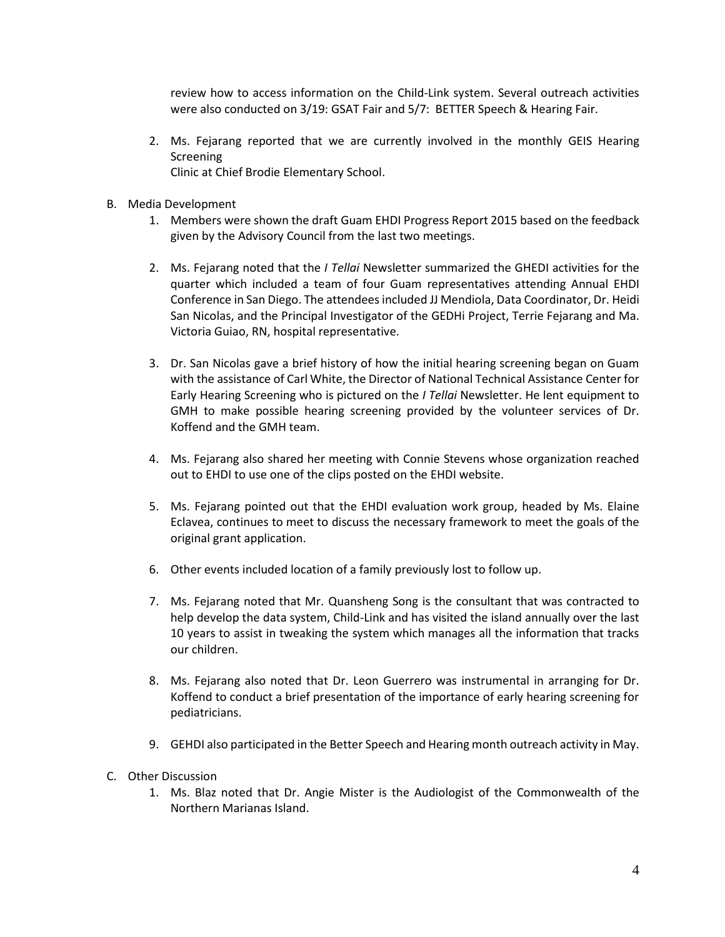review how to access information on the Child-Link system. Several outreach activities were also conducted on 3/19: GSAT Fair and 5/7: BETTER Speech & Hearing Fair.

- 2. Ms. Fejarang reported that we are currently involved in the monthly GEIS Hearing Screening Clinic at Chief Brodie Elementary School.
- B. Media Development
	- 1. Members were shown the draft Guam EHDI Progress Report 2015 based on the feedback given by the Advisory Council from the last two meetings.
	- 2. Ms. Fejarang noted that the *I Tellai* Newsletter summarized the GHEDI activities for the quarter which included a team of four Guam representatives attending Annual EHDI Conference in San Diego. The attendeesincluded JJ Mendiola, Data Coordinator, Dr. Heidi San Nicolas, and the Principal Investigator of the GEDHi Project, Terrie Fejarang and Ma. Victoria Guiao, RN, hospital representative.
	- 3. Dr. San Nicolas gave a brief history of how the initial hearing screening began on Guam with the assistance of Carl White, the Director of National Technical Assistance Center for Early Hearing Screening who is pictured on the *I Tellai* Newsletter. He lent equipment to GMH to make possible hearing screening provided by the volunteer services of Dr. Koffend and the GMH team.
	- 4. Ms. Fejarang also shared her meeting with Connie Stevens whose organization reached out to EHDI to use one of the clips posted on the EHDI website.
	- 5. Ms. Fejarang pointed out that the EHDI evaluation work group, headed by Ms. Elaine Eclavea, continues to meet to discuss the necessary framework to meet the goals of the original grant application.
	- 6. Other events included location of a family previously lost to follow up.
	- 7. Ms. Fejarang noted that Mr. Quansheng Song is the consultant that was contracted to help develop the data system, Child-Link and has visited the island annually over the last 10 years to assist in tweaking the system which manages all the information that tracks our children.
	- 8. Ms. Fejarang also noted that Dr. Leon Guerrero was instrumental in arranging for Dr. Koffend to conduct a brief presentation of the importance of early hearing screening for pediatricians.
	- 9. GEHDI also participated in the Better Speech and Hearing month outreach activity in May.
- C. Other Discussion
	- 1. Ms. Blaz noted that Dr. Angie Mister is the Audiologist of the Commonwealth of the Northern Marianas Island.